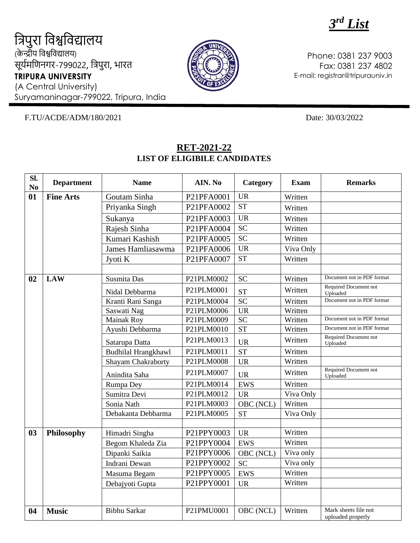*3 rd List*

त्रिपुरा त्रिश्वत्रिद्यालय (के न्द्रीय त्रिश्वत्रिद्यालय) सूर्यमणिनगर-799022, त्रिपुरा, भारत **TRIPURA UNIVERSITY** (A Central University)

Suryamaninagar-799022, Tripura, India



Phone: 0381 237 9003 Fax: 0381 237 4802 E-mail: registrar@tripurauniv.in

F.TU/ACDE/ADM/180/2021 Date: 30/03/2022

| Sl.<br>$\mathbf{N}\mathbf{0}$ | <b>Department</b> | <b>Name</b>                | AIN. No    | Category               | <b>Exam</b> | <b>Remarks</b>                            |
|-------------------------------|-------------------|----------------------------|------------|------------------------|-------------|-------------------------------------------|
| 01                            | <b>Fine Arts</b>  | Goutam Sinha               | P21PFA0001 | <b>UR</b>              | Written     |                                           |
|                               |                   | Priyanka Singh             | P21PFA0002 | $\overline{\text{ST}}$ | Written     |                                           |
|                               |                   | Sukanya                    | P21PFA0003 | <b>UR</b>              | Written     |                                           |
|                               |                   | Rajesh Sinha               | P21PFA0004 | <b>SC</b>              | Written     |                                           |
|                               |                   | Kumari Kashish             | P21PFA0005 | <b>SC</b>              | Written     |                                           |
|                               |                   | James Hamliasawma          | P21PFA0006 | <b>UR</b>              | Viva Only   |                                           |
|                               |                   | Jyoti K                    | P21PFA0007 | $\overline{\text{ST}}$ | Written     |                                           |
|                               |                   |                            |            |                        |             |                                           |
| 02                            | <b>LAW</b>        | Susmita Das                | P21PLM0002 | <b>SC</b>              | Written     | Document not in PDF format                |
|                               |                   | Nidal Debbarma             | P21PLM0001 | <b>ST</b>              | Written     | Required Document not<br>Uploaded         |
|                               |                   | Kranti Rani Sanga          | P21PLM0004 | $\overline{SC}$        | Written     | Document not in PDF format                |
|                               |                   | Saswati Nag                | P21PLM0006 | <b>UR</b>              | Written     |                                           |
|                               |                   | <b>Mainak Roy</b>          | P21PLM0009 | <b>SC</b>              | Written     | Document not in PDF format                |
|                               |                   | Ayushi Debbarma            | P21PLM0010 | <b>ST</b>              | Written     | Document not in PDF format                |
|                               |                   | Satarupa Datta             | P21PLM0013 | <b>UR</b>              | Written     | Required Document not<br>Uploaded         |
|                               |                   | <b>Budhilal Hrangkhawl</b> | P21PLM0011 | <b>ST</b>              | Written     |                                           |
|                               |                   | Shayam Chakraborty         | P21PLM0008 | <b>UR</b>              | Written     |                                           |
|                               |                   | Anindita Saha              | P21PLM0007 | <b>UR</b>              | Written     | Required Document not<br>Uploaded         |
|                               |                   | Rumpa Dey                  | P21PLM0014 | <b>EWS</b>             | Written     |                                           |
|                               |                   | Sumitra Devi               | P21PLM0012 | <b>UR</b>              | Viva Only   |                                           |
|                               |                   | Sonia Nath                 | P21PLM0003 | OBC (NCL)              | Written     |                                           |
|                               |                   | Debakanta Debbarma         | P21PLM0005 | <b>ST</b>              | Viva Only   |                                           |
|                               |                   |                            |            |                        |             |                                           |
| 03                            | Philosophy        | Himadri Singha             | P21PPY0003 | <b>UR</b>              | Written     |                                           |
|                               |                   | Begom Khaleda Zia          | P21PPY0004 | <b>EWS</b>             | Written     |                                           |
|                               |                   | Dipanki Saikia             | P21PPY0006 | OBC (NCL)              | Viva only   |                                           |
|                               |                   | Indrani Dewan              | P21PPY0002 | <b>SC</b>              | Viva only   |                                           |
|                               |                   | Masuma Begam               | P21PPY0005 | <b>EWS</b>             | Written     |                                           |
|                               |                   | Debajyoti Gupta            | P21PPY0001 | <b>UR</b>              | Written     |                                           |
|                               |                   |                            |            |                        |             |                                           |
| 04                            | <b>Music</b>      | <b>Bibhu Sarkar</b>        | P21PMU0001 | OBC (NCL)              | Written     | Mark sheets file not<br>uploaded properly |

## **RET-2021-22 LIST OF ELIGIBILE CANDIDATES**